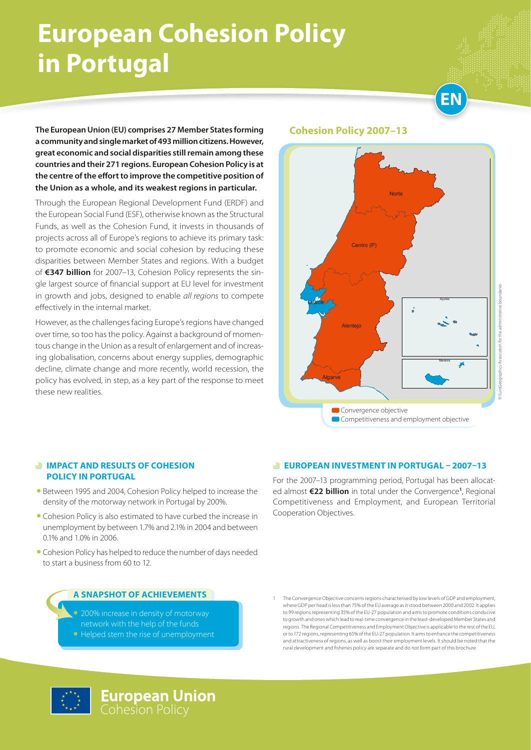# **European Cohesion Policy in Portugal**



**The European Union (EU) comprises 27 Member States forming a community and single market of 493 million citizens. However, great economic and social disparities still remain among these countries and their 271 regions. European Cohesion Policy is at the centre of the effort to improve the competitive position of the Union as a whole, and its weakest regions in particular.** 

Through the European Regional Development Fund (ERDF) and the European Social Fund (ESF), otherwise known as the Structural Funds, as well as the Cohesion Fund, it invests in thousands of projects across all of Europe's regions to achieve its primary task: to promote economic and social cohesion by reducing these disparities between Member States and regions. With a budget of **€347 billion** for 2007–13, Cohesion Policy represents the single largest source of financial support at EU level for investment in growth and jobs, designed to enable *all regions* to compete effectively in the internal market.

However, as the challenges facing Europe's regions have changed over time, so too has the policy. Against a background of momentous change in the Union as a result of enlargement and of increasing globalisation, concerns about energy supplies, demographic decline, climate change and more recently, world recession, the policy has evolved, in step, as a key part of the response to meet these new realities.

#### **Cohesion Policy 2007–13**



# © EuroGeographics Association for the administrative boundaries **DEuroGeographics Association for the adm**

#### *<b>IMPACT AND RESULTS OF COHESION* **POLICY IN PORTUGAL**

- Between 1995 and 2004, Cohesion Policy helped to increase the density of the motorway network in Portugal by 200%.
- Cohesion Policy is also estimated to have curbed the increase in unemployment by between 1.7% and 2.1% in 2004 and between 0.1% and 1.0% in 2006.
- Cohesion Policy has helped to reduce the number of days needed to start a business from 60 to 12.

#### **A snapshot of achievements**

- 200% increase in density of motorway network with the help of the funds
- Helped stem the rise of unemployment

#### 1 The Convergence Objective concerns regions characterised by low levels of GDP and employment, where GDP per head is less than 75% of the EU average as it stood between 2000 and 2002. It applies to 99 regions representing 35% of the EU-27 population and aims to promote conditions conducive to growth and ones which lead to real-time convergence in the least-developed Member States and regions. The Regional Competitiveness and Employment Objective is applicable to the rest of the EU, or to 172 regions, representing 65% of the EU-27 population. It aims to enhance the competitiveness and attractiveness of regions, as well as boost their employment levels. It should be noted that the rural development and fisheries policy are separate and do not form part of this brochure.

 **EUROPEAN INVESTMENT IN PORTUGAL – 2007–13** For the 2007–13 programming period, Portugal has been allocated almost **€22 billion** in total under the Convergence**<sup>1</sup>** , Regional Competitiveness and Employment, and European Territorial

Cooperation Objectives.

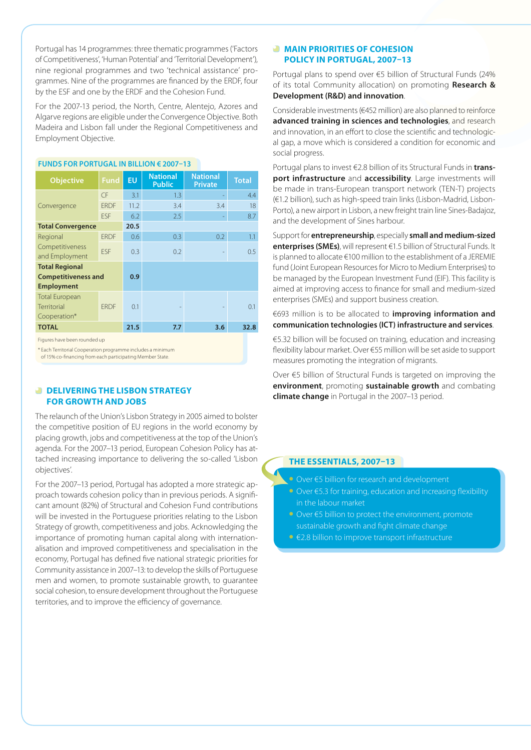Portugal has 14 programmes: three thematic programmes ('Factors of Competitiveness', 'Human Potential' and 'Territorial Development'), nine regional programmes and two 'technical assistance' programmes. Nine of the programmes are financed by the ERDF, four by the ESF and one by the ERDF and the Cohesion Fund.

For the 2007-13 period, the North, Centre, Alentejo, Azores and Algarve regions are eligible under the Convergence Objective. Both Madeira and Lisbon fall under the Regional Competitiveness and Employment Objective.

| <b>Objective</b>           | <b>Fund</b> | <b>EU</b> | <b>National</b><br><b>Public</b> | <b>National</b><br><b>Private</b> | <b>Total</b> |
|----------------------------|-------------|-----------|----------------------------------|-----------------------------------|--------------|
| Convergence                | CF          | 3.1       | 1.3                              |                                   | 4.4          |
|                            | <b>ERDF</b> | 11.2      | 3.4                              | 3.4                               | 18           |
|                            | <b>FSF</b>  | 6.2       | 2.5                              |                                   | 8.7          |
| <b>Total Convergence</b>   |             | 20.5      |                                  |                                   |              |
| Regional                   | <b>FRDF</b> | 0.6       | 0.3                              | 0.2                               | 1.1          |
| Competitiveness            | <b>FSF</b>  | 0.3       | 0.2                              |                                   | 0.5          |
| and Employment             |             |           |                                  |                                   |              |
| <b>Total Regional</b>      |             |           |                                  |                                   |              |
| <b>Competitiveness and</b> |             | 0.9       |                                  |                                   |              |
| <b>Employment</b>          |             |           |                                  |                                   |              |
| <b>Total European</b>      |             |           |                                  |                                   |              |
| Territorial                | <b>FRDF</b> | 0.1       |                                  |                                   | 0.1          |
| Cooperation*               |             |           |                                  |                                   |              |
| <b>TOTAL</b>               |             | 21.5      | 7.7                              | 3.6                               | 32.8         |
|                            |             |           |                                  |                                   |              |

#### **Funds for PORTUGAL in billion € 2007–13**

Figures have been rounded up

\* Each Territorial Cooperation programme includes a minimum

of 15% co-financing from each participating Member State.

#### **B** DELIVERING THE LISBON STRATEGY **FOR GROWTH AND JOBS**

The relaunch of the Union's Lisbon Strategy in 2005 aimed to bolster the competitive position of EU regions in the world economy by placing growth, jobs and competitiveness at the top of the Union's agenda. For the 2007–13 period, European Cohesion Policy has attached increasing importance to delivering the so-called 'Lisbon objectives'.

For the 2007–13 period, Portugal has adopted a more strategic approach towards cohesion policy than in previous periods. A significant amount (82%) of Structural and Cohesion Fund contributions will be invested in the Portuguese priorities relating to the Lisbon Strategy of growth, competitiveness and jobs. Acknowledging the importance of promoting human capital along with internationalisation and improved competitiveness and specialisation in the economy, Portugal has defined five national strategic priorities for Community assistance in 2007–13: to develop the skills of Portuguese men and women, to promote sustainable growth, to guarantee social cohesion, to ensure development throughout the Portuguese territories, and to improve the efficiency of governance.

#### **MAIN PRIORITIES OF COHESION POLICY IN PORTUGAL, 2007–13**

Portugal plans to spend over €5 billion of Structural Funds (24% of its total Community allocation) on promoting **Research & Development (R&D) and innovation**.

Considerable investments (€452 million) are also planned to reinforce **advanced training in sciences and technologies**, and research and innovation, in an effort to close the scientific and technological gap, a move which is considered a condition for economic and social progress.

Portugal plans to invest €2.8 billion of its Structural Funds in **transport infrastructure** and **accessibility**. Large investments will be made in trans-European transport network (TEN-T) projects (€1.2 billion), such as high-speed train links (Lisbon-Madrid, Lisbon-Porto), a new airport in Lisbon, a new freight train line Sines-Badajoz, and the development of Sines harbour.

Support for **entrepreneurship**, especially **small and medium-sized enterprises (SMEs)**, will represent €1.5 billion of Structural Funds. It is planned to allocate €100 million to the establishment of a JEREMIE fund (Joint European Resources for Micro to Medium Enterprises) to be managed by the European Investment Fund (EIF). This facility is aimed at improving access to finance for small and medium-sized enterprises (SMEs) and support business creation.

€693 million is to be allocated to **improving information and communication technologies (ICT) infrastructure and services**.

€5.32 billion will be focused on training, education and increasing flexibility labour market. Over €55 million will be set aside to support measures promoting the integration of migrants.

Over €5 billion of Structural Funds is targeted on improving the **environment**, promoting **sustainable growth** and combating **climate change** in Portugal in the 2007–13 period.

#### **THE ESSENTIALS, 2007–13**

- • Over €5 billion for research and development
- Over €5.3 for training, education and increasing flexibility in the labour market
- • Over €5 billion to protect the environment, promote sustainable growth and fight climate change
- • €2.8 billion to improve transport infrastructure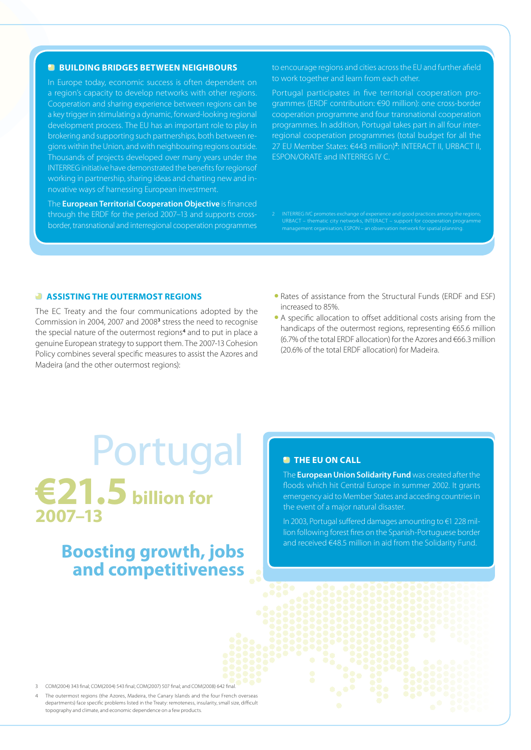#### **BUILDING BRIDGES BETWEEN NEIGHBOURS**

In Europe today, economic success is often dependent on a region's capacity to develop networks with other regions. Cooperation and sharing experience between regions can be a key trigger in stimulating a dynamic, forward-looking regional development process. The EU has an important role to play in brokering and supporting such partnerships, both between regions within the Union, and with neighbouring regions outside. Thousands of projects developed over many years under the INTERREG initiative have demonstrated the benefits for regionsof working in partnership, sharing ideas and charting new and innovative ways of harnessing European investment.

The **European Territorial Cooperation Objective** is financed through the ERDF for the period 2007–13 and supports crossborder, transnational and interregional cooperation programmes to encourage regions and cities across the EU and further afield to work together and learn from each other.

Portugal participates in five territorial cooperation programmes (ERDF contribution: €90 million): one cross-border cooperation programme and four transnational cooperation programmes. In addition, Portugal takes part in all four interregional cooperation programmes (total budget for all the 27 EU Member States: €443 million)**<sup>2</sup>** : INTERACT II, URBACT II, ESPON/ORATE and INTERREG IV C.

2 INTERREG IVC promotes exchange of experience and good practices among the regions, URBACT – thematic city networks, INTERACT – support for cooperation programmed the unit of the support for cooperation programmed the unit of the state of the state of the state of the state of the state of the state of th management organisation, ESPON – an observation network for spatial planning.

#### **ASSISTING THE OUTERMOST REGIONS**

The EC Treaty and the four communications adopted by the Commission in 2004, 2007 and 2008<sup>3</sup> stress the need to recognise the special nature of the outermost regions**<sup>4</sup>** and to put in place a genuine European strategy to support them. The 2007-13 Cohesion Policy combines several specific measures to assist the Azores and Madeira (and the other outermost regions):

- Rates of assistance from the Structural Funds (ERDF and ESF) increased to 85%.
- A specific allocation to offset additional costs arising from the handicaps of the outermost regions, representing €65.6 million (6.7% of the total ERDF allocation) for the Azores and €66.3 million (20.6% of the total ERDF allocation) for Madeira.

# Portugal **€21.5 billion for 2007–13**

## **Boosting growth, jobs and competitiveness**

#### **<sup><b>B**</sup> THE EU ON CALL</sub>

The **European Union Solidarity Fund** was created after the floods which hit Central Europe in summer 2002. It grants emergency aid to Member States and acceding countries in the event of a major natural disaster.

In 2003, Portugal suffered damages amounting to €1 228 million following forest fires on the Spanish-Portuguese border and received €48.5 million in aid from the Solidarity Fund.

3 COM(2004) 343 final; COM(2004) 543 final; COM(2007) 507 final; and COM(2008) 642 final.

4 The outermost regions (the Azores, Madeira, the Canary Islands and the four French overseas departments) face specific problems listed in the Treaty: remoteness, insularity, small size, difficult topography and climate, and economic dependence on a few products.